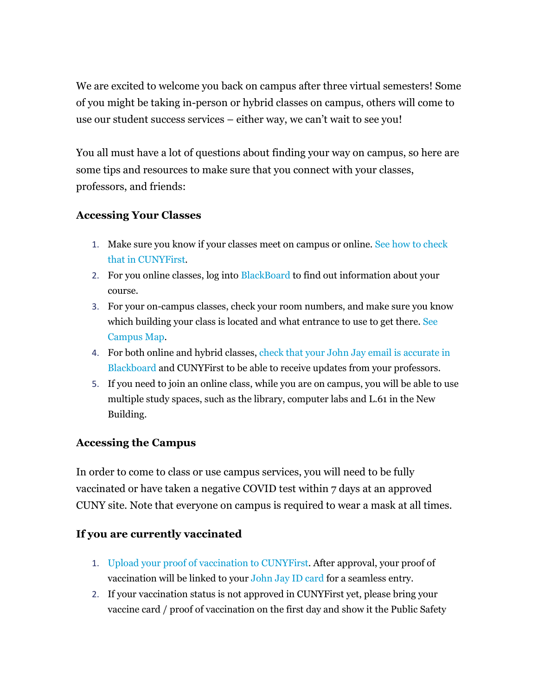We are excited to welcome you back on campus after three virtual semesters! Some of you might be taking in-person or hybrid classes on campus, others will come to use our student success services – either way, we can't wait to see you!

You all must have a lot of questions about finding your way on campus, so here are some tips and resources to make sure that you connect with your classes, professors, and friends:

## **Accessing Your Classes**

- 1. Make sure you know if your classes meet on campus or online. [See how to check](https://www.youtube.com/watch?v=LVQBxYrQsUY)  [that in CUNYFirst.](https://www.youtube.com/watch?v=LVQBxYrQsUY)
- 2. For you online classes, log into [BlackBoard](https://www.jjay.cuny.edu/blackboard) to find out information about your course.
- 3. For your on-campus classes, check your room numbers, and make sure you know which building your class is located and what entrance to use to get there. [See](http://www.jjay.cuny.edu/sites/default/files/contentgroups/sasp/jjaycampus.pdf)  [Campus Map.](http://www.jjay.cuny.edu/sites/default/files/contentgroups/sasp/jjaycampus.pdf)
- 4. For both online and hybrid classes, check that your John Jay email is accurate in [Blackboard](https://www.jjay.cuny.edu/sites/default/files/contentgroups/blackboard/quick_tips_how_to_update_your_email_address_in_blackboard.pdf) and CUNYFirst to be able to receive updates from your professors.
- 5. If you need to join an online class, while you are on campus, you will be able to use multiple study spaces, such as the library, computer labs and L.61 in the New Building.

## **Accessing the Campus**

In order to come to class or use campus services, you will need to be fully vaccinated or have taken a negative COVID test within 7 days at an approved CUNY site. Note that everyone on campus is required to wear a mask at all times.

## **If you are currently vaccinated**

- 1. [Upload your proof of vaccination to CUNYFirst.](https://cunyithelp.cuny.edu/sp?id=kb_article_view&sysparm_article=KB0012414&sys_kb_id=5e3df8c91be978103302fe60cd4bcb32) After approval, your proof of vaccination will be linked to you[r John Jay ID card](https://drive.google.com/file/d/1LqeSOF03NAoIcFM_i1upXxWI29oSQrnf/view) for a seamless entry.
- 2. If your vaccination status is not approved in CUNYFirst yet, please bring your vaccine card / proof of vaccination on the first day and show it the Public Safety